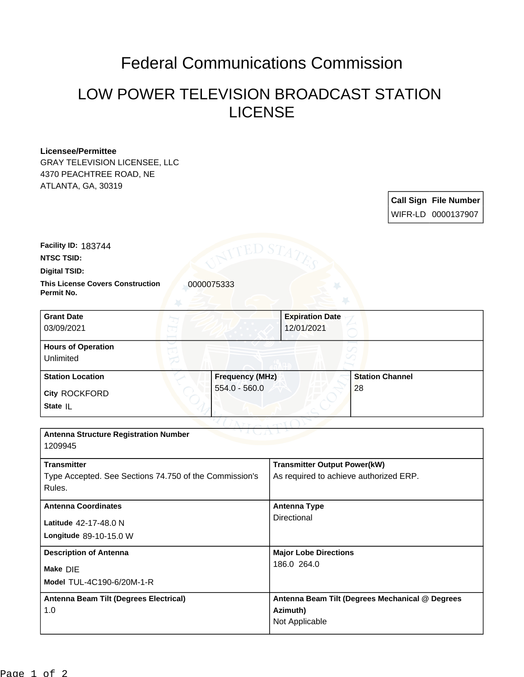## Federal Communications Commission

## LOW POWER TELEVISION BROADCAST STATION LICENSE

## **Licensee/Permittee**

GRAY TELEVISION LICENSEE, LLC 4370 PEACHTREE ROAD, NE ATLANTA, GA, 30319

| <b>Call Sign File Number</b> |
|------------------------------|
| WIFR-LD 0000137907           |

**NTSC TSID: Facility ID:** 183744

**Digital TSID:**

**This License Covers Construction**  0000075333 **Permit No.**

**State** IL **City** ROCKFORD **Grant Date** 03/09/2021 **Expiration Date** 12/01/2021 **Hours of Operation** Unlimited **Station Location Frequency (MHz)** 554.0 - 560.0 **Station Channel** 28

| <b>Antenna Structure Registration Number</b><br>1209945 |                                                 |  |  |  |
|---------------------------------------------------------|-------------------------------------------------|--|--|--|
|                                                         |                                                 |  |  |  |
| <b>Transmitter</b>                                      | <b>Transmitter Output Power(kW)</b>             |  |  |  |
| Type Accepted. See Sections 74.750 of the Commission's  | As required to achieve authorized ERP.          |  |  |  |
| Rules.                                                  |                                                 |  |  |  |
|                                                         |                                                 |  |  |  |
| <b>Antenna Coordinates</b>                              | Antenna Type                                    |  |  |  |
| Latitude 42-17-48.0 N                                   | Directional                                     |  |  |  |
| Longitude 89-10-15.0 W                                  |                                                 |  |  |  |
| <b>Description of Antenna</b>                           | <b>Major Lobe Directions</b>                    |  |  |  |
| Make DIE                                                | 186.0 264.0                                     |  |  |  |
|                                                         |                                                 |  |  |  |
| Model TUL-4C190-6/20M-1-R                               |                                                 |  |  |  |
| Antenna Beam Tilt (Degrees Electrical)                  | Antenna Beam Tilt (Degrees Mechanical @ Degrees |  |  |  |
| 1.0                                                     | Azimuth)                                        |  |  |  |
|                                                         | Not Applicable                                  |  |  |  |
|                                                         |                                                 |  |  |  |